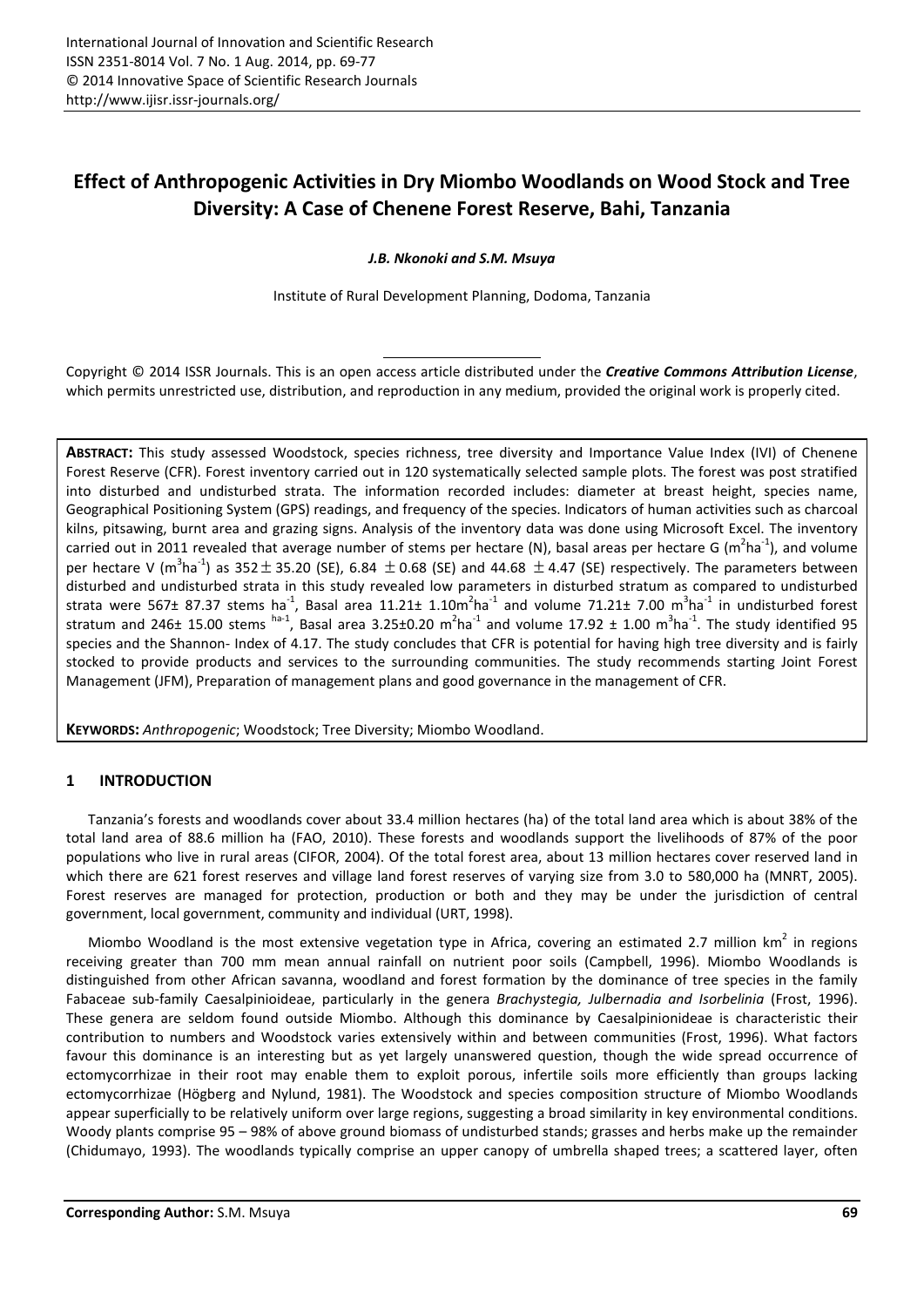# Effect of Anthropogenic Activities in Dry Miombo Woodlands on Wood Stock and Tree Diversity: A Case of Chenene Forest Reserve, Bahi, Tanzania

*J.B. Nkonoki and S.M. Msuya*

Institute of Rural Development Planning, Dodoma, Tanzania

Copyright © 2014 ISSR Journals. This is an open access article distributed under the *Creative Commons Attribution License*, which permits unrestricted use, distribution, and reproduction in any medium, provided the original work is properly cited.

ABSTRACT: This study assessed Woodstock, species richness, tree diversity and Importance Value Index (IVI) of Chenene Forest Reserve (CFR). Forest inventory carried out in 120 systematically selected sample plots. The forest was post stratified into disturbed and undisturbed strata. The information recorded includes: diameter at breast height, species name, Geographical Positioning System (GPS) readings, and frequency of the species. Indicators of human activities such as charcoal kilns, pitsawing, burnt area and grazing signs. Analysis of the inventory data was done using Microsoft Excel. The inventory carried out in 2011 revealed that average number of stems per hectare (N), basal areas per hectare G (m<sup>2</sup>ha<sup>-1</sup>), and volume per hectare V (m<sup>3</sup>ha<sup>-1</sup>) as 352  $\pm$  35.20 (SE), 6.84  $\pm$  0.68 (SE) and 44.68  $\pm$  4.47 (SE) respectively. The parameters between disturbed and undisturbed strata in this study revealed low parameters in disturbed stratum as compared to undisturbed strata were 567± 87.37 stems ha<sup>-1</sup>, Basal area 11.21± 1.10m<sup>2</sup>ha<sup>-1</sup> and volume 71.21± 7.00 m<sup>3</sup>ha<sup>-1</sup> in undisturbed forest stratum and 246± 15.00 stems  $^{\text{ha-1}}$ , Basal area 3.25±0.20 m<sup>2</sup>ha<sup>-1</sup> and volume 17.92 ± 1.00 m<sup>3</sup>ha<sup>-1</sup>. The study identified 95 species and the Shannon- Index of 4.17. The study concludes that CFR is potential for having high tree diversity and is fairly stocked to provide products and services to the surrounding communities. The study recommends starting Joint Forest Management (JFM), Preparation of management plans and good governance in the management of CFR.

KEYWORDS: *Anthropogenic*; Woodstock; Tree Diversity; Miombo Woodland.

# 1 INTRODUCTION

Tanzania's forests and woodlands cover about 33.4 million hectares (ha) of the total land area which is about 38% of the total land area of 88.6 million ha (FAO, 2010). These forests and woodlands support the livelihoods of 87% of the poor populations who live in rural areas (CIFOR, 2004). Of the total forest area, about 13 million hectares cover reserved land in which there are 621 forest reserves and village land forest reserves of varying size from 3.0 to 580,000 ha (MNRT, 2005). Forest reserves are managed for protection, production or both and they may be under the jurisdiction of central government, local government, community and individual (URT, 1998).

Miombo Woodland is the most extensive vegetation type in Africa, covering an estimated 2.7 million  $km^2$  in regions receiving greater than 700 mm mean annual rainfall on nutrient poor soils (Campbell, 1996). Miombo Woodlands is distinguished from other African savanna, woodland and forest formation by the dominance of tree species in the family Fabaceae sub-family Caesalpinioideae, particularly in the genera *Brachystegia, Julbernadia and Isorbelinia* (Frost, 1996). These genera are seldom found outside Miombo. Although this dominance by Caesalpinionideae is characteristic their contribution to numbers and Woodstock varies extensively within and between communities (Frost, 1996). What factors favour this dominance is an interesting but as yet largely unanswered question, though the wide spread occurrence of ectomycorrhizae in their root may enable them to exploit porous, infertile soils more efficiently than groups lacking ectomycorrhizae (Högberg and Nylund, 1981). The Woodstock and species composition structure of Miombo Woodlands appear superficially to be relatively uniform over large regions, suggesting a broad similarity in key environmental conditions. Woody plants comprise 95 – 98% of above ground biomass of undisturbed stands; grasses and herbs make up the remainder (Chidumayo, 1993). The woodlands typically comprise an upper canopy of umbrella shaped trees; a scattered layer, often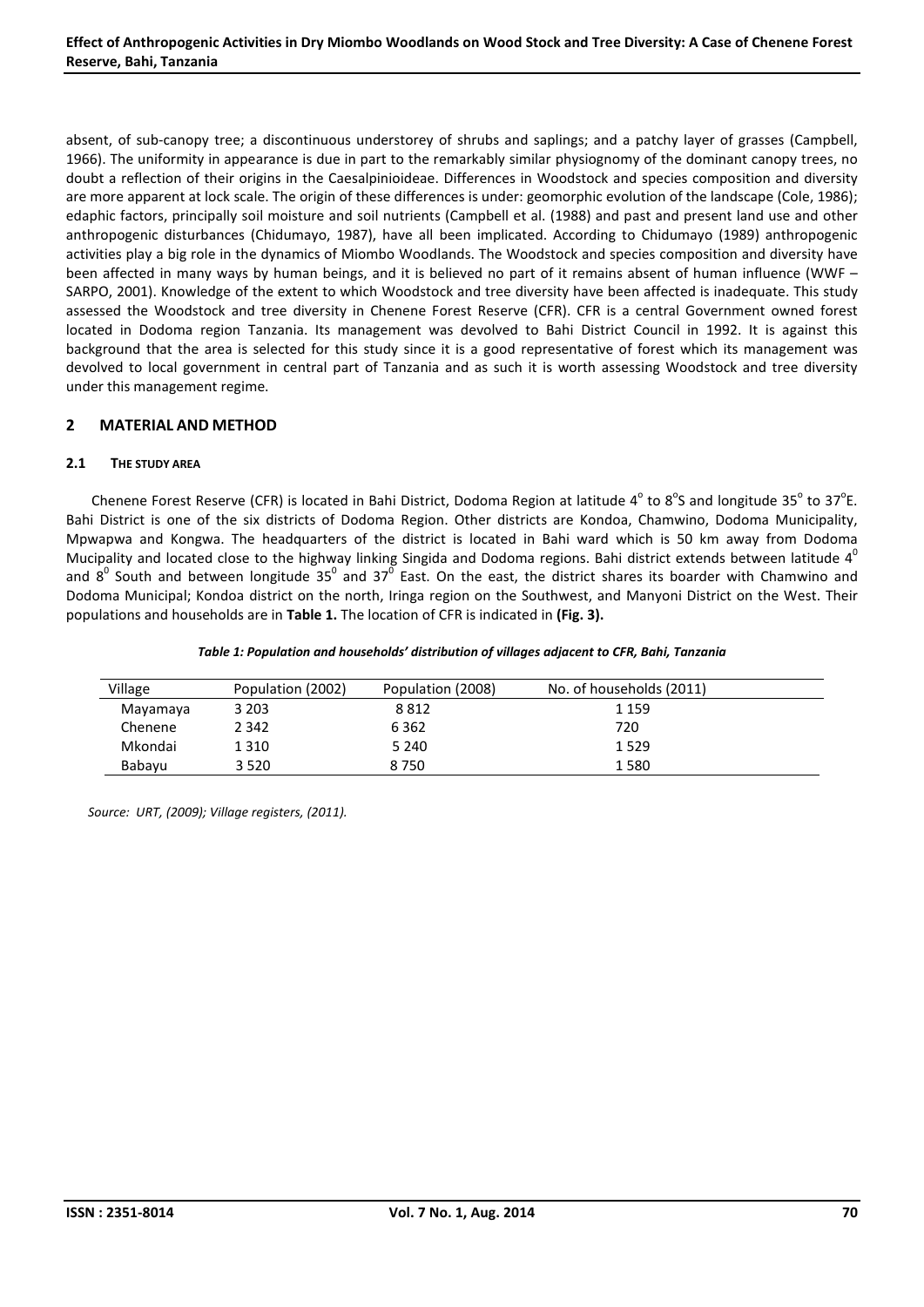absent, of sub-canopy tree; a discontinuous understorey of shrubs and saplings; and a patchy layer of grasses (Campbell, 1966). The uniformity in appearance is due in part to the remarkably similar physiognomy of the dominant canopy trees, no doubt a reflection of their origins in the Caesalpinioideae. Differences in Woodstock and species composition and diversity are more apparent at lock scale. The origin of these differences is under: geomorphic evolution of the landscape (Cole, 1986); edaphic factors, principally soil moisture and soil nutrients (Campbell et al. (1988) and past and present land use and other anthropogenic disturbances (Chidumayo, 1987), have all been implicated. According to Chidumayo (1989) anthropogenic activities play a big role in the dynamics of Miombo Woodlands. The Woodstock and species composition and diversity have been affected in many ways by human beings, and it is believed no part of it remains absent of human influence (WWF – SARPO, 2001). Knowledge of the extent to which Woodstock and tree diversity have been affected is inadequate. This study assessed the Woodstock and tree diversity in Chenene Forest Reserve (CFR). CFR is a central Government owned forest located in Dodoma region Tanzania. Its management was devolved to Bahi District Council in 1992. It is against this background that the area is selected for this study since it is a good representative of forest which its management was devolved to local government in central part of Tanzania and as such it is worth assessing Woodstock and tree diversity under this management regime.

# 2 MATERIAL AND METHOD

# 2.1 THE STUDY AREA

Chenene Forest Reserve (CFR) is located in Bahi District, Dodoma Region at latitude 4 $^{\circ}$  to 8 $^{\circ}$ S and longitude 35 $^{\circ}$  to 37 $^{\circ}$ E. Bahi District is one of the six districts of Dodoma Region. Other districts are Kondoa, Chamwino, Dodoma Municipality, Mpwapwa and Kongwa. The headquarters of the district is located in Bahi ward which is 50 km away from Dodoma Mucipality and located close to the highway linking Singida and Dodoma regions. Bahi district extends between latitude  $4^0$ and  $8^0$  South and between longitude 35<sup>0</sup> and 37<sup>0</sup> East. On the east, the district shares its boarder with Chamwino and Dodoma Municipal; Kondoa district on the north, Iringa region on the Southwest, and Manyoni District on the West. Their populations and households are in Table 1. The location of CFR is indicated in (Fig. 3).

| Village  | Population (2002) | Population (2008) | No. of households (2011) |  |
|----------|-------------------|-------------------|--------------------------|--|
| Mayamaya | 3 2 0 3           | 8812              | 1 1 5 9                  |  |
| Chenene  | 2 3 4 2           | 6 3 6 2           | 720                      |  |
| Mkondai  | 1 3 1 0           | 5 2 4 0           | 1529                     |  |
| Babayu   | 3 5 2 0           | 8750              | 1580                     |  |

*Source: URT, (2009); Village registers, (2011).*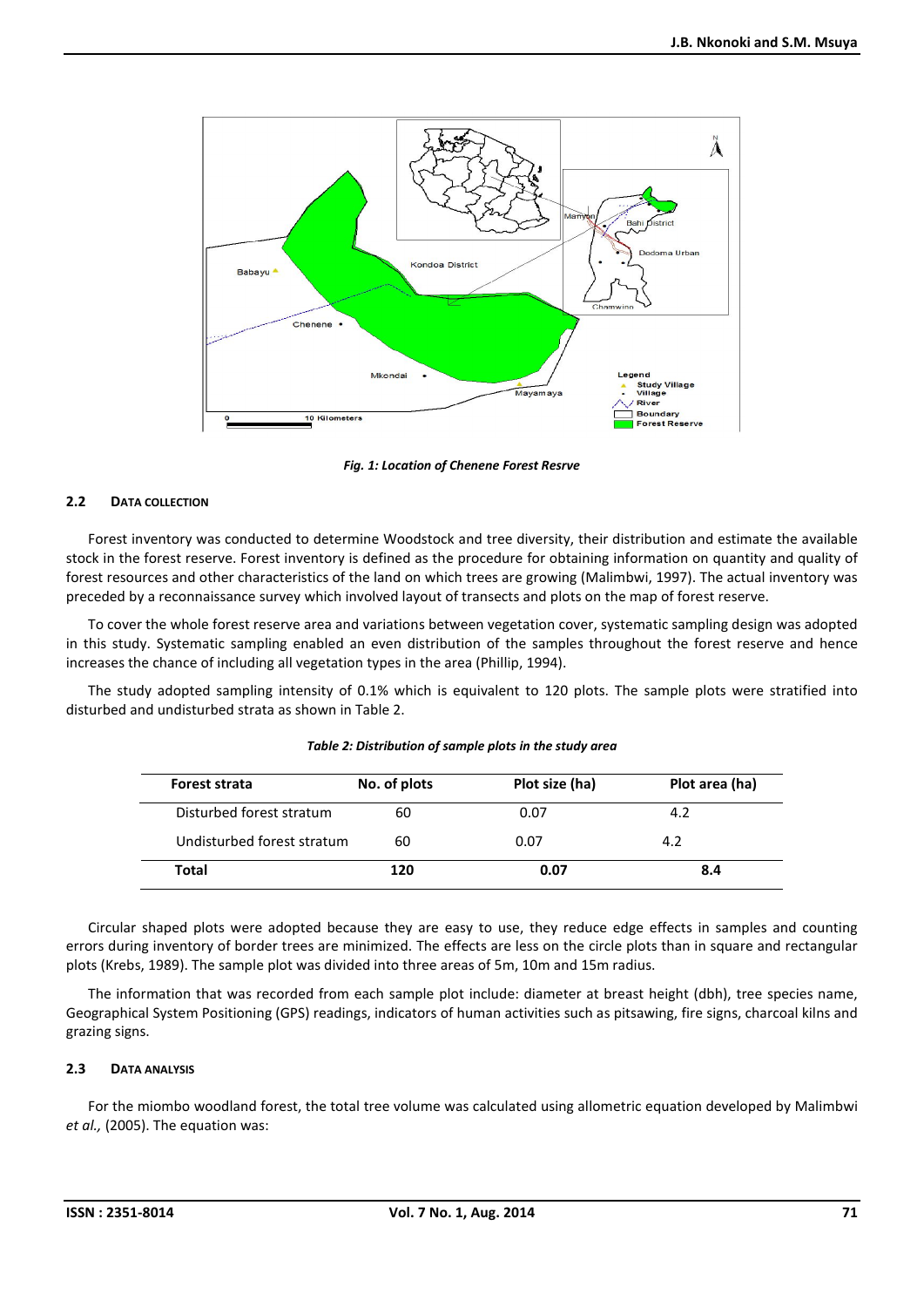

*Fig. 1: Location of Chenene Forest Resrve*

# 2.2 DATA COLLECTION

Forest inventory was conducted to determine Woodstock and tree diversity, their distribution and estimate the available stock in the forest reserve. Forest inventory is defined as the procedure for obtaining information on quantity and quality of forest resources and other characteristics of the land on which trees are growing (Malimbwi, 1997). The actual inventory was preceded by a reconnaissance survey which involved layout of transects and plots on the map of forest reserve.

To cover the whole forest reserve area and variations between vegetation cover, systematic sampling design was adopted in this study. Systematic sampling enabled an even distribution of the samples throughout the forest reserve and hence increases the chance of including all vegetation types in the area (Phillip, 1994).

The study adopted sampling intensity of 0.1% which is equivalent to 120 plots. The sample plots were stratified into disturbed and undisturbed strata as shown in Table 2.

| Forest strata              | No. of plots | Plot size (ha) | Plot area (ha) |
|----------------------------|--------------|----------------|----------------|
| Disturbed forest stratum   | 60           | 0.07           | 4.2            |
| Undisturbed forest stratum | 60           | 0.07           | 4.2            |
| Total                      | 120          | 0.07           | 8.4            |

#### *Table 2: Distribution of sample plots in the study area*

Circular shaped plots were adopted because they are easy to use, they reduce edge effects in samples and counting errors during inventory of border trees are minimized. The effects are less on the circle plots than in square and rectangular plots (Krebs, 1989). The sample plot was divided into three areas of 5m, 10m and 15m radius.

The information that was recorded from each sample plot include: diameter at breast height (dbh), tree species name, Geographical System Positioning (GPS) readings, indicators of human activities such as pitsawing, fire signs, charcoal kilns and grazing signs.

# 2.3 DATA ANALYSIS

For the miombo woodland forest, the total tree volume was calculated using allometric equation developed by Malimbwi *et al.,* (2005). The equation was: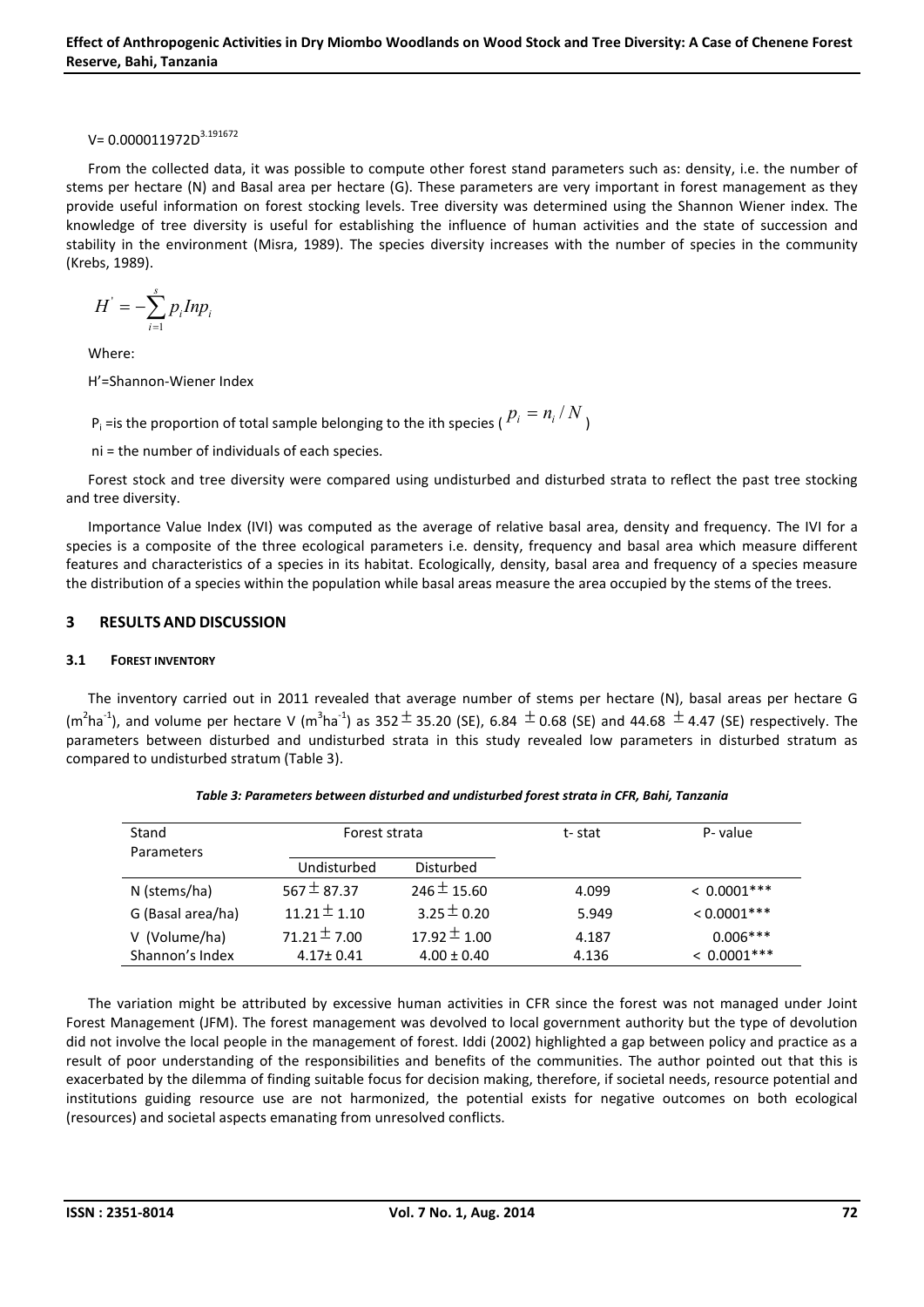# $V= 0.000011972D^{3.191672}$

From the collected data, it was possible to compute other forest stand parameters such as: density, i.e. the number of stems per hectare (N) and Basal area per hectare (G). These parameters are very important in forest management as they provide useful information on forest stocking levels. Tree diversity was determined using the Shannon Wiener index. The knowledge of tree diversity is useful for establishing the influence of human activities and the state of succession and stability in the environment (Misra, 1989). The species diversity increases with the number of species in the community (Krebs, 1989).

$$
H^{'}=-\sum_{i=1}^{s}p_{i}Inp_{i}
$$

Where:

H'=Shannon-Wiener Index

 $P_i$  =is the proportion of total sample belonging to the ith species (  $P_i = n_i / N$  )

ni = the number of individuals of each species.

Forest stock and tree diversity were compared using undisturbed and disturbed strata to reflect the past tree stocking and tree diversity.

Importance Value Index (IVI) was computed as the average of relative basal area, density and frequency. The IVI for a species is a composite of the three ecological parameters i.e. density, frequency and basal area which measure different features and characteristics of a species in its habitat. Ecologically, density, basal area and frequency of a species measure the distribution of a species within the population while basal areas measure the area occupied by the stems of the trees.

# 3 RESULTS AND DISCUSSION

# 3.1 FOREST INVENTORY

The inventory carried out in 2011 revealed that average number of stems per hectare (N), basal areas per hectare G (m<sup>2</sup>ha<sup>-1</sup>), and volume per hectare V (m<sup>3</sup>ha<sup>-1</sup>) as 352  $\pm$  35.20 (SE), 6.84  $\pm$  0.68 (SE) and 44.68  $\pm$  4.47 (SE) respectively. The parameters between disturbed and undisturbed strata in this study revealed low parameters in disturbed stratum as compared to undisturbed stratum (Table 3).

| Stand<br><b>Parameters</b> | Forest strata    |                  | t-stat | P-value       |  |
|----------------------------|------------------|------------------|--------|---------------|--|
|                            | Undisturbed      | Disturbed        |        |               |  |
| N (stems/ha)               | $567 \pm 87.37$  | $246 \pm 15.60$  | 4.099  | $< 0.0001***$ |  |
| G (Basal area/ha)          | $11.21 \pm 1.10$ | $3.25 \pm 0.20$  | 5.949  | $< 0.0001***$ |  |
| V (Volume/ha)              | 71.21 $\pm$ 7.00 | $17.92 \pm 1.00$ | 4.187  | $0.006***$    |  |
| Shannon's Index            | $4.17 \pm 0.41$  | $4.00 \pm 0.40$  | 4.136  | $< 0.0001***$ |  |

*Table 3: Parameters between disturbed and undisturbed forest strata in CFR, Bahi, Tanzania*

The variation might be attributed by excessive human activities in CFR since the forest was not managed under Joint Forest Management (JFM). The forest management was devolved to local government authority but the type of devolution did not involve the local people in the management of forest. Iddi (2002) highlighted a gap between policy and practice as a result of poor understanding of the responsibilities and benefits of the communities. The author pointed out that this is exacerbated by the dilemma of finding suitable focus for decision making, therefore, if societal needs, resource potential and institutions guiding resource use are not harmonized, the potential exists for negative outcomes on both ecological (resources) and societal aspects emanating from unresolved conflicts.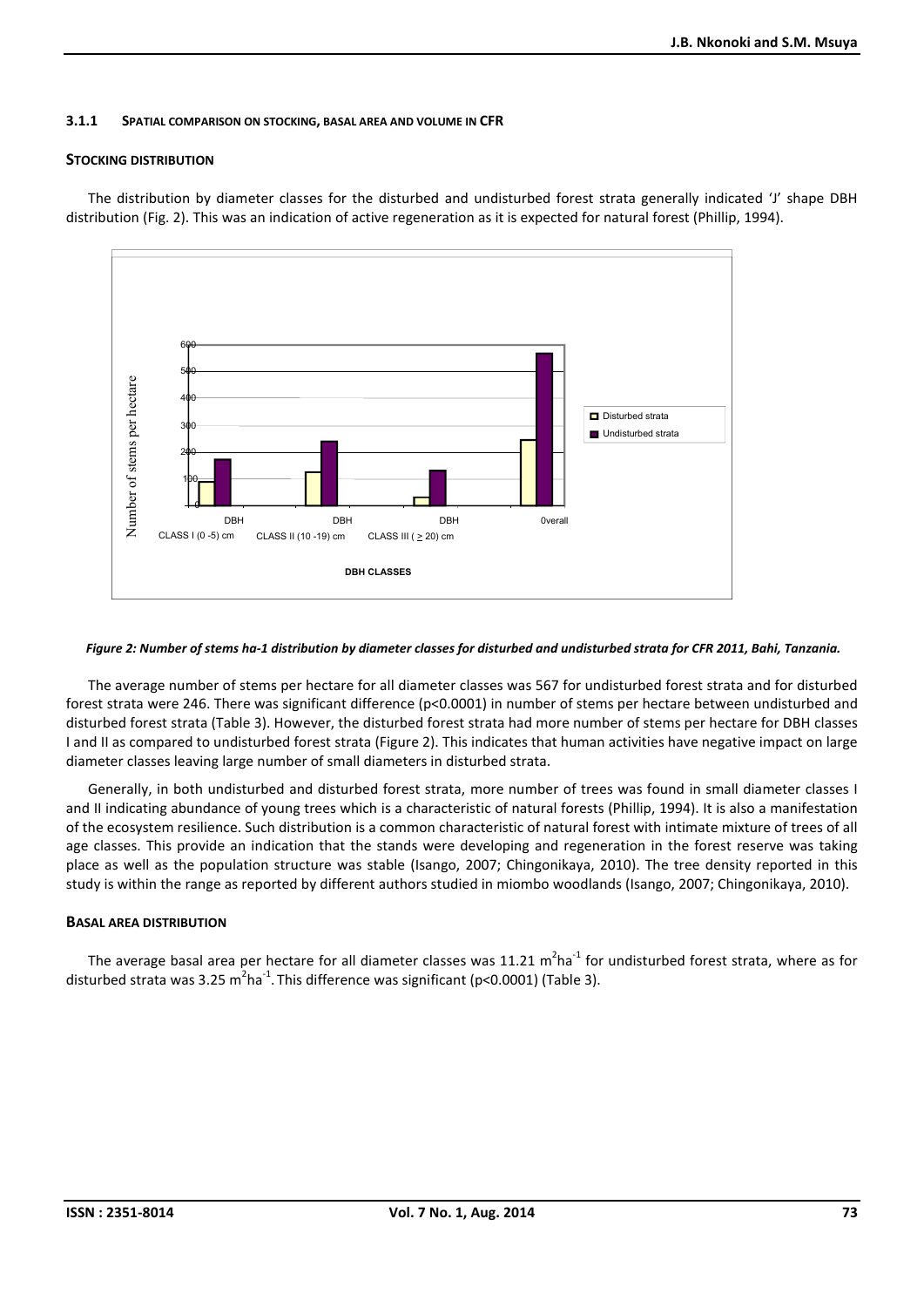#### 3.1.1 SPATIAL COMPARISON ON STOCKING, BASAL AREA AND VOLUME IN CFR

#### STOCKING DISTRIBUTION

The distribution by diameter classes for the disturbed and undisturbed forest strata generally indicated 'J' shape DBH distribution (Fig. 2). This was an indication of active regeneration as it is expected for natural forest (Phillip, 1994).



#### *Figure 2: Number of stems ha-1 distribution by diameter classes for disturbed and undisturbed strata for CFR 2011, Bahi, Tanzania.*

The average number of stems per hectare for all diameter classes was 567 for undisturbed forest strata and for disturbed forest strata were 246. There was significant difference (p<0.0001) in number of stems per hectare between undisturbed and disturbed forest strata (Table 3). However, the disturbed forest strata had more number of stems per hectare for DBH classes I and II as compared to undisturbed forest strata (Figure 2). This indicates that human activities have negative impact on large diameter classes leaving large number of small diameters in disturbed strata.

Generally, in both undisturbed and disturbed forest strata, more number of trees was found in small diameter classes I and II indicating abundance of young trees which is a characteristic of natural forests (Phillip, 1994). It is also a manifestation of the ecosystem resilience. Such distribution is a common characteristic of natural forest with intimate mixture of trees of all age classes. This provide an indication that the stands were developing and regeneration in the forest reserve was taking place as well as the population structure was stable (Isango, 2007; Chingonikaya, 2010). The tree density reported in this study is within the range as reported by different authors studied in miombo woodlands (Isango, 2007; Chingonikaya, 2010).

# BASAL AREA DISTRIBUTION

The average basal area per hectare for all diameter classes was 11.21  $m^2$ ha<sup>-1</sup> for undisturbed forest strata, where as for disturbed strata was 3.25 m<sup>2</sup>ha<sup>-1</sup>. This difference was significant (p<0.0001) (Table 3).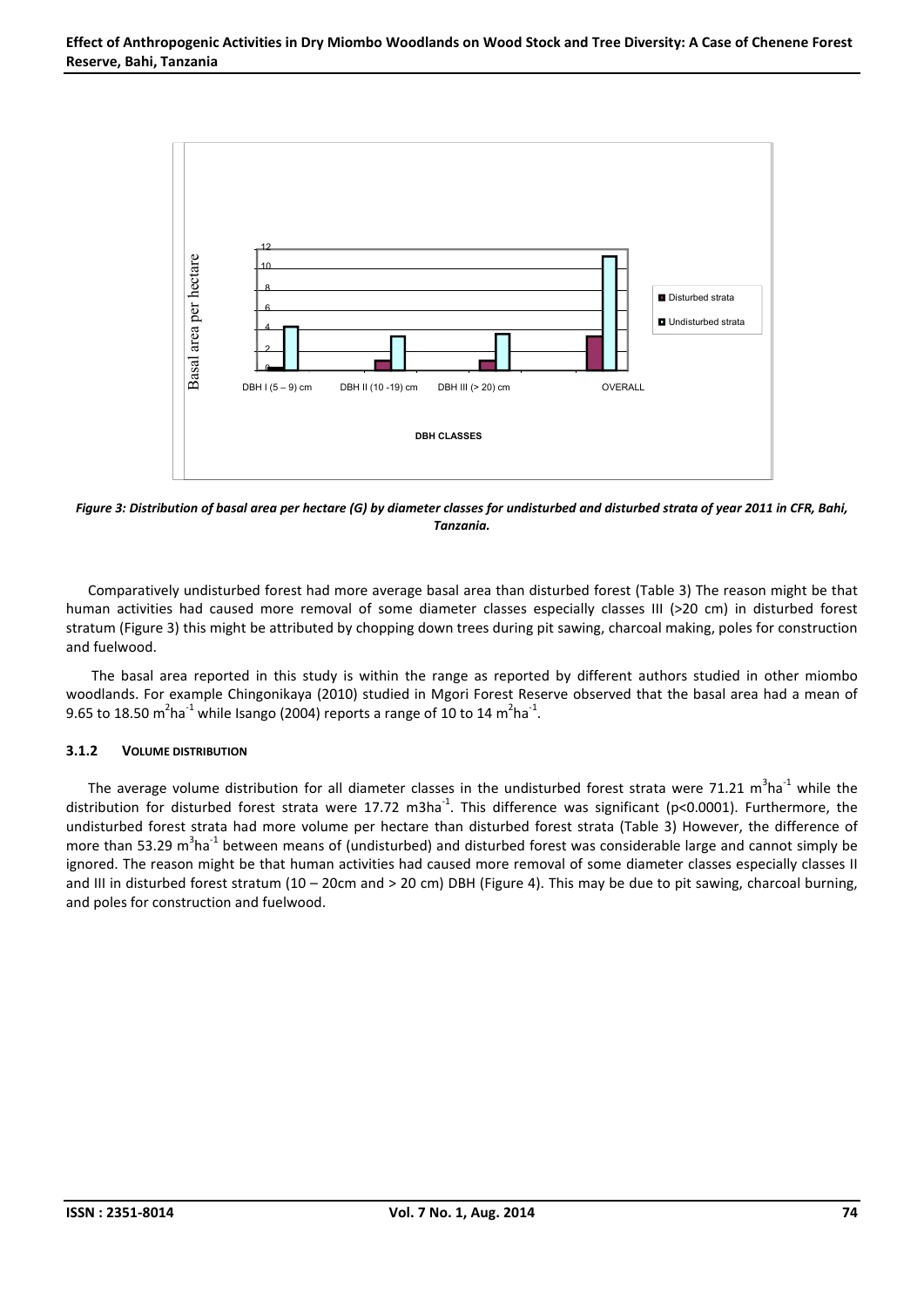

*Figure 3: Distribution of basal area per hectare (G) by diameter classes for undisturbed and disturbed strata of year 2011 in CFR, Bahi, Tanzania.*

Comparatively undisturbed forest had more average basal area than disturbed forest (Table 3) The reason might be that human activities had caused more removal of some diameter classes especially classes III (>20 cm) in disturbed forest stratum (Figure 3) this might be attributed by chopping down trees during pit sawing, charcoal making, poles for construction and fuelwood.

The basal area reported in this study is within the range as reported by different authors studied in other miombo woodlands. For example Chingonikaya (2010) studied in Mgori Forest Reserve observed that the basal area had a mean of 9.65 to 18.50 m<sup>2</sup>ha<sup>-1</sup> while Isango (2004) reports a range of 10 to 14 m<sup>2</sup>ha<sup>-1</sup>.

# 3.1.2 VOLUME DISTRIBUTION

The average volume distribution for all diameter classes in the undisturbed forest strata were 71.21  $m^3$ ha<sup>-1</sup> while the distribution for disturbed forest strata were 17.72 m3ha<sup>-1</sup>. This difference was significant (p<0.0001). Furthermore, the undisturbed forest strata had more volume per hectare than disturbed forest strata (Table 3) However, the difference of more than 53.29 m<sup>3</sup>ha<sup>-1</sup> between means of (undisturbed) and disturbed forest was considerable large and cannot simply be ignored. The reason might be that human activities had caused more removal of some diameter classes especially classes II and III in disturbed forest stratum (10 – 20cm and > 20 cm) DBH (Figure 4). This may be due to pit sawing, charcoal burning, and poles for construction and fuelwood.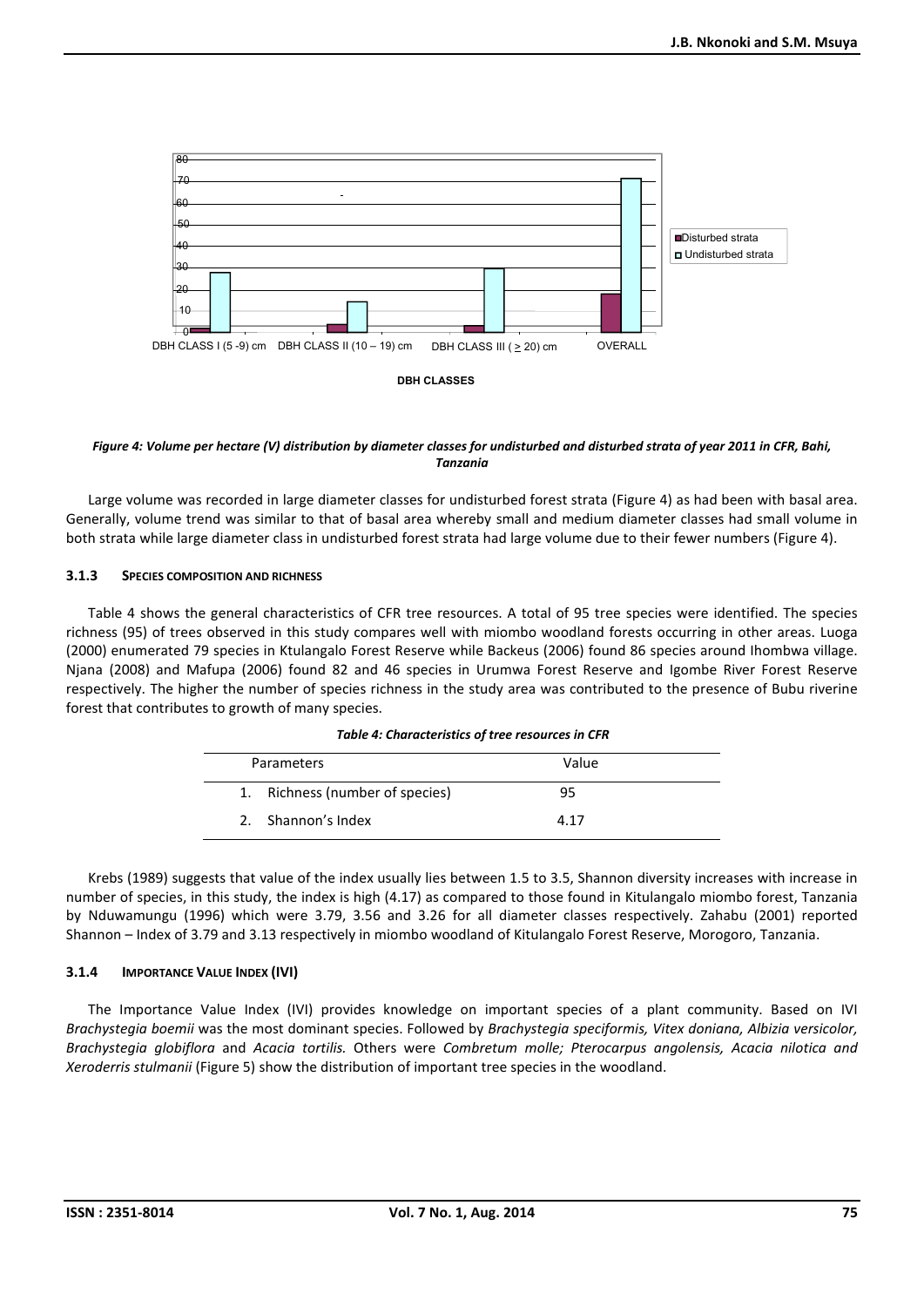

*Figure 4: Volume per hectare (V) distribution by diameter classes for undisturbed and disturbed strata of year 2011 in CFR, Bahi, Tanzania*

Large volume was recorded in large diameter classes for undisturbed forest strata (Figure 4) as had been with basal area. Generally, volume trend was similar to that of basal area whereby small and medium diameter classes had small volume in both strata while large diameter class in undisturbed forest strata had large volume due to their fewer numbers (Figure 4).

#### 3.1.3 SPECIES COMPOSITION AND RICHNESS

Table 4 shows the general characteristics of CFR tree resources. A total of 95 tree species were identified. The species richness (95) of trees observed in this study compares well with miombo woodland forests occurring in other areas. Luoga (2000) enumerated 79 species in Ktulangalo Forest Reserve while Backeus (2006) found 86 species around Ihombwa village. Njana (2008) and Mafupa (2006) found 82 and 46 species in Urumwa Forest Reserve and Igombe River Forest Reserve respectively. The higher the number of species richness in the study area was contributed to the presence of Bubu riverine forest that contributes to growth of many species.

| Parameters                      | Value |  |
|---------------------------------|-------|--|
| 1. Richness (number of species) | 95    |  |
| 2. Shannon's Index              | 4 1 7 |  |

*Table 4: Characteristics of tree resources in CFR*

Krebs (1989) suggests that value of the index usually lies between 1.5 to 3.5, Shannon diversity increases with increase in number of species, in this study, the index is high (4.17) as compared to those found in Kitulangalo miombo forest, Tanzania by Nduwamungu (1996) which were 3.79, 3.56 and 3.26 for all diameter classes respectively. Zahabu (2001) reported Shannon – Index of 3.79 and 3.13 respectively in miombo woodland of Kitulangalo Forest Reserve, Morogoro, Tanzania.

# 3.1.4 IMPORTANCE VALUE INDEX (IVI)

The Importance Value Index (IVI) provides knowledge on important species of a plant community. Based on IVI *Brachystegia boemii* was the most dominant species. Followed by *Brachystegia speciformis, Vitex doniana, Albizia versicolor, Brachystegia globiflora* and *Acacia tortilis.* Others were *Combretum molle; Pterocarpus angolensis, Acacia nilotica and Xeroderris stulmanii* (Figure 5) show the distribution of important tree species in the woodland.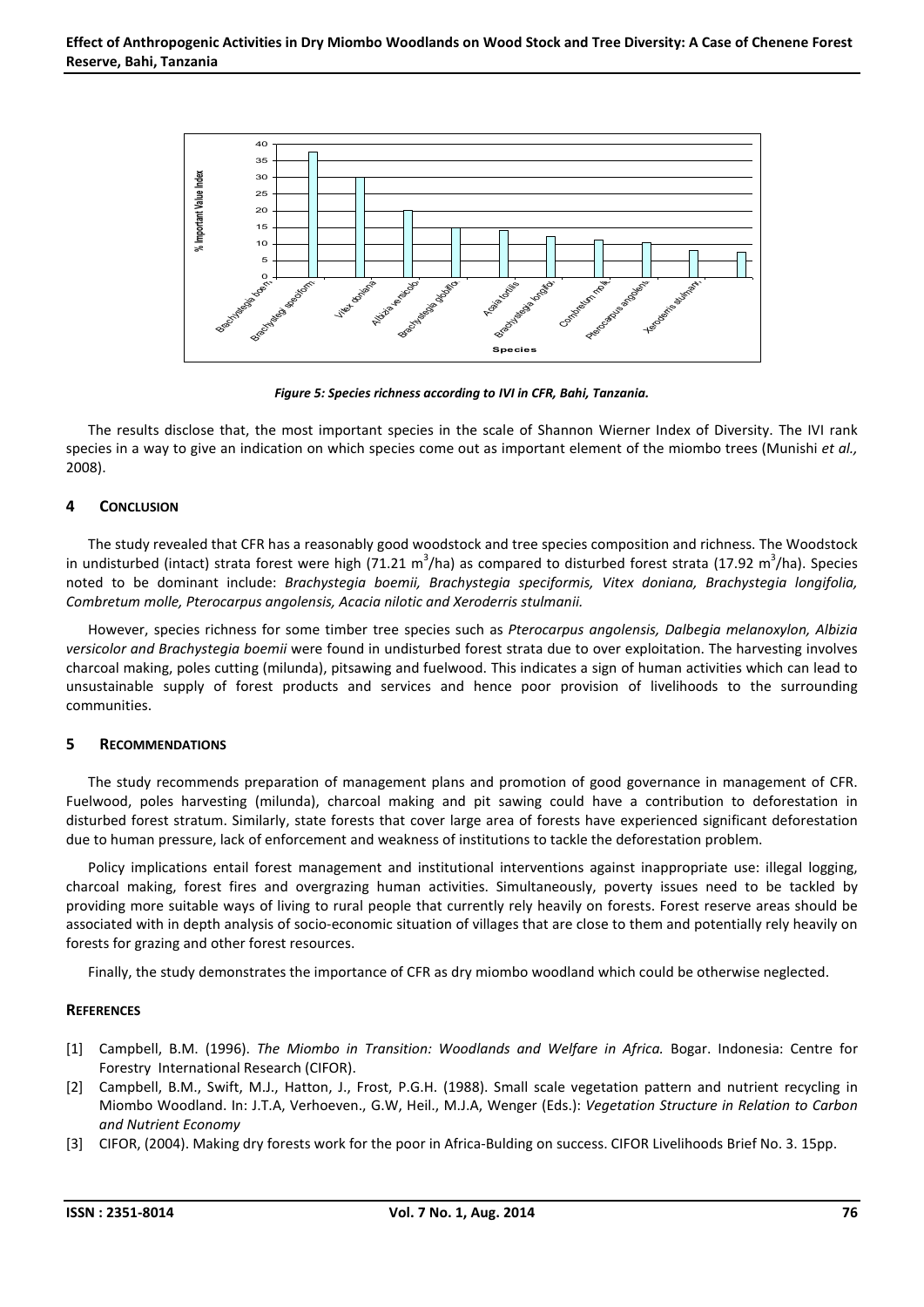

*Figure 5: Species richness according to IVI in CFR, Bahi, Tanzania.*

The results disclose that, the most important species in the scale of Shannon Wierner Index of Diversity. The IVI rank species in a way to give an indication on which species come out as important element of the miombo trees (Munishi *et al.,* 2008).

# 4 CONCLUSION

The study revealed that CFR has a reasonably good woodstock and tree species composition and richness. The Woodstock in undisturbed (intact) strata forest were high (71.21 m<sup>3</sup>/ha) as compared to disturbed forest strata (17.92 m<sup>3</sup>/ha). Species noted to be dominant include: *Brachystegia boemii, Brachystegia speciformis, Vitex doniana, Brachystegia longifolia, Combretum molle, Pterocarpus angolensis, Acacia nilotic and Xeroderris stulmanii.*

However, species richness for some timber tree species such as *Pterocarpus angolensis, Dalbegia melanoxylon, Albizia versicolor and Brachystegia boemii* were found in undisturbed forest strata due to over exploitation. The harvesting involves charcoal making, poles cutting (milunda), pitsawing and fuelwood. This indicates a sign of human activities which can lead to unsustainable supply of forest products and services and hence poor provision of livelihoods to the surrounding communities.

# 5 RECOMMENDATIONS

The study recommends preparation of management plans and promotion of good governance in management of CFR. Fuelwood, poles harvesting (milunda), charcoal making and pit sawing could have a contribution to deforestation in disturbed forest stratum. Similarly, state forests that cover large area of forests have experienced significant deforestation due to human pressure, lack of enforcement and weakness of institutions to tackle the deforestation problem.

Policy implications entail forest management and institutional interventions against inappropriate use: illegal logging, charcoal making, forest fires and overgrazing human activities. Simultaneously, poverty issues need to be tackled by providing more suitable ways of living to rural people that currently rely heavily on forests. Forest reserve areas should be associated with in depth analysis of socio-economic situation of villages that are close to them and potentially rely heavily on forests for grazing and other forest resources.

Finally, the study demonstrates the importance of CFR as dry miombo woodland which could be otherwise neglected.

# **REFERENCES**

- [1] Campbell, B.M. (1996). *The Miombo in Transition: Woodlands and Welfare in Africa.* Bogar. Indonesia: Centre for Forestry International Research (CIFOR).
- [2] Campbell, B.M., Swift, M.J., Hatton, J., Frost, P.G.H. (1988). Small scale vegetation pattern and nutrient recycling in Miombo Woodland. In: J.T.A, Verhoeven., G.W, Heil., M.J.A, Wenger (Eds.): *Vegetation Structure in Relation to Carbon and Nutrient Economy*
- [3] CIFOR, (2004). Making dry forests work for the poor in Africa-Bulding on success. CIFOR Livelihoods Brief No. 3. 15pp.